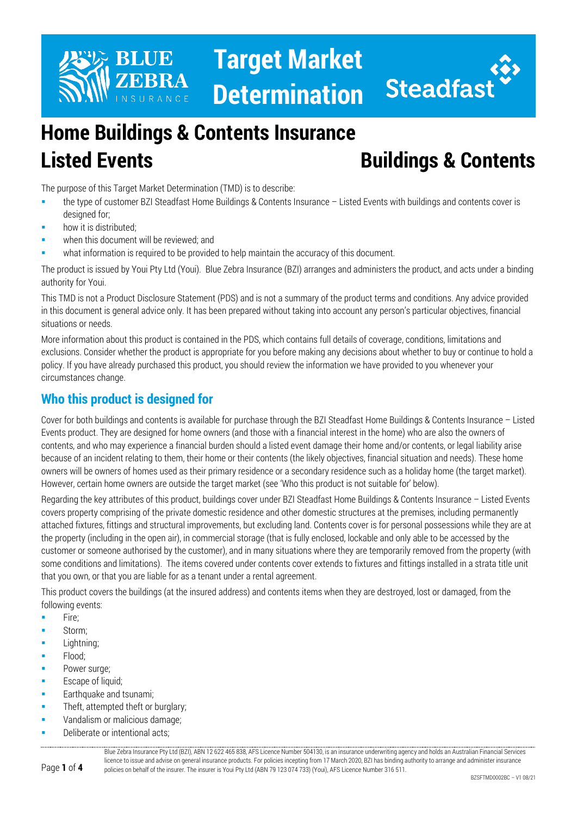



# **Home Buildings & Contents Insurance Listed Events Buildings & Contents**

The purpose of this Target Market Determination (TMD) is to describe:

- the type of customer BZI Steadfast Home Buildings & Contents Insurance Listed Events with buildings and contents cover is designed for;
- how it is distributed;
- when this document will be reviewed; and
- what information is required to be provided to help maintain the accuracy of this document.

The product is issued by Youi Pty Ltd (Youi). Blue Zebra Insurance (BZI) arranges and administers the product, and acts under a binding authority for Youi.

This TMD is not a Product Disclosure Statement (PDS) and is not a summary of the product terms and conditions. Any advice provided in this document is general advice only. It has been prepared without taking into account any person's particular objectives, financial situations or needs.

More information about this product is contained in the PDS, which contains full details of coverage, conditions, limitations and exclusions. Consider whether the product is appropriate for you before making any decisions about whether to buy or continue to hold a policy. If you have already purchased this product, you should review the information we have provided to you whenever your circumstances change.

## **Who this product is designed for**

Cover for both buildings and contents is available for purchase through the BZI Steadfast Home Buildings & Contents Insurance – Listed Events product. They are designed for home owners (and those with a financial interest in the home) who are also the owners of contents, and who may experience a financial burden should a listed event damage their home and/or contents, or legal liability arise because of an incident relating to them, their home or their contents (the likely objectives, financial situation and needs). These home owners will be owners of homes used as their primary residence or a secondary residence such as a holiday home (the target market). However, certain home owners are outside the target market (see 'Who this product is not suitable for' below).

Regarding the key attributes of this product, buildings cover under BZI Steadfast Home Buildings & Contents Insurance – Listed Events covers property comprising of the private domestic residence and other domestic structures at the premises, including permanently attached fixtures, fittings and structural improvements, but excluding land. Contents cover is for personal possessions while they are at the property (including in the open air), in commercial storage (that is fully enclosed, lockable and only able to be accessed by the customer or someone authorised by the customer), and in many situations where they are temporarily removed from the property (with some conditions and limitations). The items covered under contents cover extends to fixtures and fittings installed in a strata title unit that you own, or that you are liable for as a tenant under a rental agreement.

This product covers the buildings (at the insured address) and contents items when they are destroyed, lost or damaged, from the following events:

- $Fire;$
- Storm;
- Lightning;
- Flood;
- Power surge;
- Escape of liquid;
- Earthquake and tsunami;
- Theft, attempted theft or burglary;
- Vandalism or malicious damage;
- Deliberate or intentional acts;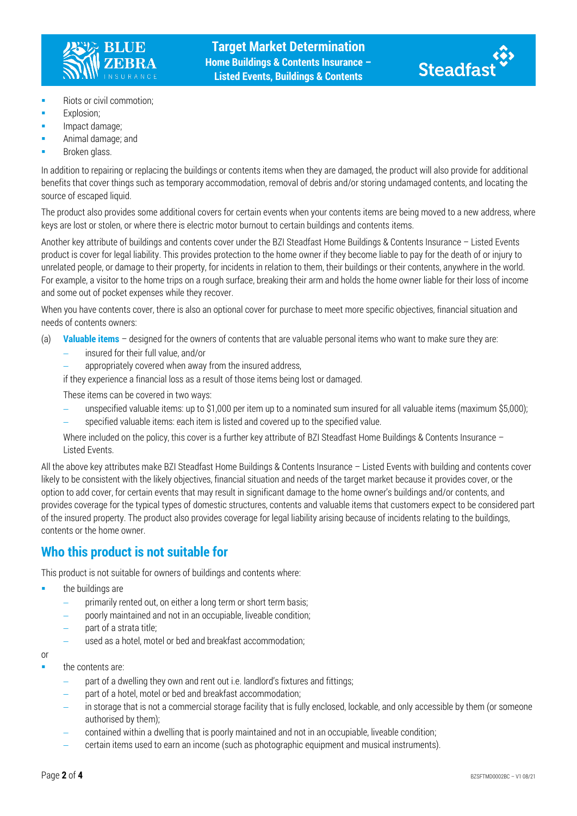



- **Riots or civil commotion;**
- **Explosion:**
- Impact damage;
- Animal damage; and
- Broken glass.

In addition to repairing or replacing the buildings or contents items when they are damaged, the product will also provide for additional benefits that cover things such as temporary accommodation, removal of debris and/or storing undamaged contents, and locating the source of escaped liquid.

The product also provides some additional covers for certain events when your contents items are being moved to a new address, where keys are lost or stolen, or where there is electric motor burnout to certain buildings and contents items.

Another key attribute of buildings and contents cover under the BZI Steadfast Home Buildings & Contents Insurance – Listed Events product is cover for legal liability. This provides protection to the home owner if they become liable to pay for the death of or injury to unrelated people, or damage to their property, for incidents in relation to them, their buildings or their contents, anywhere in the world. For example, a visitor to the home trips on a rough surface, breaking their arm and holds the home owner liable for their loss of income and some out of pocket expenses while they recover.

When you have contents cover, there is also an optional cover for purchase to meet more specific objectives, financial situation and needs of contents owners:

(a) **Valuable items** – designed for the owners of contents that are valuable personal items who want to make sure they are:

- − insured for their full value, and/or
- appropriately covered when away from the insured address,

if they experience a financial loss as a result of those items being lost or damaged.

These items can be covered in two ways:

- − unspecified valuable items: up to \$1,000 per item up to a nominated sum insured for all valuable items (maximum \$5,000);
- − specified valuable items: each item is listed and covered up to the specified value.

Where included on the policy, this cover is a further key attribute of BZI Steadfast Home Buildings & Contents Insurance – Listed Events.

All the above key attributes make BZI Steadfast Home Buildings & Contents Insurance – Listed Events with building and contents cover likely to be consistent with the likely objectives, financial situation and needs of the target market because it provides cover, or the option to add cover, for certain events that may result in significant damage to the home owner's buildings and/or contents, and provides coverage for the typical types of domestic structures, contents and valuable items that customers expect to be considered part of the insured property. The product also provides coverage for legal liability arising because of incidents relating to the buildings, contents or the home owner.

#### **Who this product is not suitable for**

This product is not suitable for owners of buildings and contents where:

- $\blacksquare$  the buildings are
	- primarily rented out, on either a long term or short term basis;
	- poorly maintained and not in an occupiable, liveable condition;
	- part of a strata title;
	- used as a hotel, motel or bed and breakfast accommodation;

or

- the contents are:
	- part of a dwelling they own and rent out i.e. landlord's fixtures and fittings;
	- part of a hotel, motel or bed and breakfast accommodation;
	- in storage that is not a commercial storage facility that is fully enclosed, lockable, and only accessible by them (or someone authorised by them);
	- − contained within a dwelling that is poorly maintained and not in an occupiable, liveable condition;
	- − certain items used to earn an income (such as photographic equipment and musical instruments).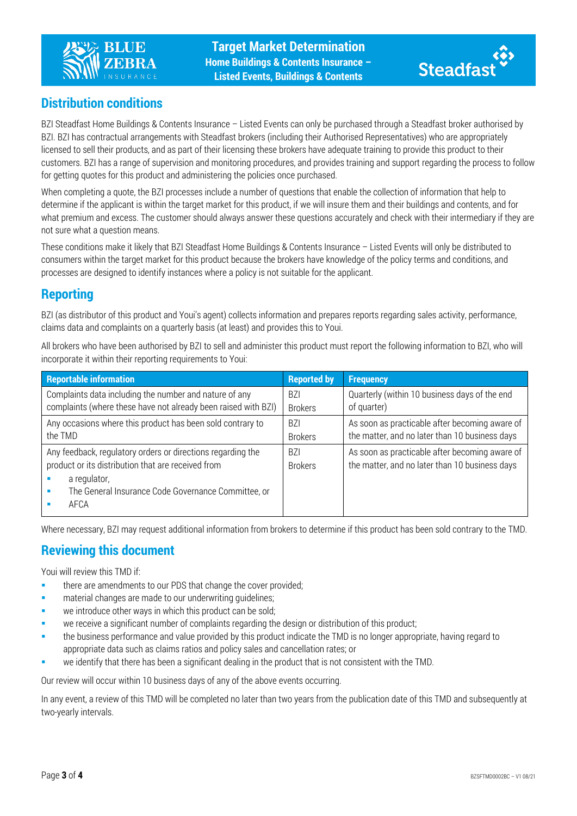



## **Distribution conditions**

BZI Steadfast Home Buildings & Contents Insurance – Listed Events can only be purchased through a Steadfast broker authorised by BZI. BZI has contractual arrangements with Steadfast brokers (including their Authorised Representatives) who are appropriately licensed to sell their products, and as part of their licensing these brokers have adequate training to provide this product to their customers. BZI has a range of supervision and monitoring procedures, and provides training and support regarding the process to follow for getting quotes for this product and administering the policies once purchased.

When completing a quote, the BZI processes include a number of questions that enable the collection of information that help to determine if the applicant is within the target market for this product, if we will insure them and their buildings and contents, and for what premium and excess. The customer should always answer these questions accurately and check with their intermediary if they are not sure what a question means.

These conditions make it likely that BZI Steadfast Home Buildings & Contents Insurance – Listed Events will only be distributed to consumers within the target market for this product because the brokers have knowledge of the policy terms and conditions, and processes are designed to identify instances where a policy is not suitable for the applicant.

#### **Reporting**

BZI (as distributor of this product and Youi's agent) collects information and prepares reports regarding sales activity, performance, claims data and complaints on a quarterly basis (at least) and provides this to Youi.

All brokers who have been authorised by BZI to sell and administer this product must report the following information to BZI, who will incorporate it within their reporting requirements to Youi:

| <b>Reportable information</b>                                  | <b>Reported by</b> | <b>Frequency</b>                               |
|----------------------------------------------------------------|--------------------|------------------------------------------------|
| Complaints data including the number and nature of any         | <b>B71</b>         | Quarterly (within 10 business days of the end  |
| complaints (where these have not already been raised with BZI) | <b>Brokers</b>     | of quarter)                                    |
| Any occasions where this product has been sold contrary to     | <b>BZI</b>         | As soon as practicable after becoming aware of |
| the TMD                                                        | <b>Brokers</b>     | the matter, and no later than 10 business days |
| Any feedback, regulatory orders or directions regarding the    | <b>B71</b>         | As soon as practicable after becoming aware of |
| product or its distribution that are received from             | <b>Brokers</b>     | the matter, and no later than 10 business days |
| a regulator,                                                   |                    |                                                |
| The General Insurance Code Governance Committee, or            |                    |                                                |
| AFCA                                                           |                    |                                                |
|                                                                |                    |                                                |

Where necessary, BZI may request additional information from brokers to determine if this product has been sold contrary to the TMD.

#### **Reviewing this document**

Youi will review this TMD if:

- **there are amendments to our PDS that change the cover provided;**
- material changes are made to our underwriting guidelines;
- we introduce other ways in which this product can be sold;
- we receive a significant number of complaints regarding the design or distribution of this product;
- the business performance and value provided by this product indicate the TMD is no longer appropriate, having regard to appropriate data such as claims ratios and policy sales and cancellation rates; or
- we identify that there has been a significant dealing in the product that is not consistent with the TMD.

Our review will occur within 10 business days of any of the above events occurring.

In any event, a review of this TMD will be completed no later than two years from the publication date of this TMD and subsequently at two-yearly intervals.